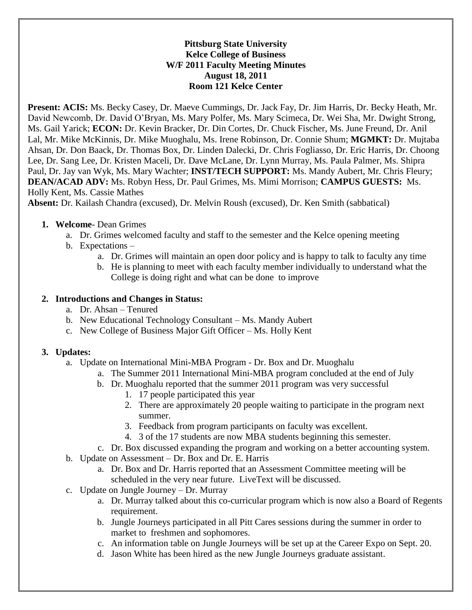### **Pittsburg State University Kelce College of Business W/F 2011 Faculty Meeting Minutes August 18, 2011 Room 121 Kelce Center**

**Present: ACIS:** Ms. Becky Casey, Dr. Maeve Cummings, Dr. Jack Fay, Dr. Jim Harris, Dr. Becky Heath, Mr. David Newcomb, Dr. David O'Bryan, Ms. Mary Polfer, Ms. Mary Scimeca, Dr. Wei Sha, Mr. Dwight Strong, Ms. Gail Yarick; **ECON:** Dr. Kevin Bracker, Dr. Din Cortes, Dr. Chuck Fischer, Ms. June Freund, Dr. Anil Lal, Mr. Mike McKinnis, Dr. Mike Muoghalu, Ms. Irene Robinson, Dr. Connie Shum; **MGMKT:** Dr. Mujtaba Ahsan, Dr. Don Baack, Dr. Thomas Box, Dr. Linden Dalecki, Dr. Chris Fogliasso, Dr. Eric Harris, Dr. Choong Lee, Dr. Sang Lee, Dr. Kristen Maceli, Dr. Dave McLane, Dr. Lynn Murray, Ms. Paula Palmer, Ms. Shipra Paul, Dr. Jay van Wyk, Ms. Mary Wachter; **INST/TECH SUPPORT:** Ms. Mandy Aubert, Mr. Chris Fleury; **DEAN/ACAD ADV:** Ms. Robyn Hess, Dr. Paul Grimes, Ms. Mimi Morrison; **CAMPUS GUESTS:** Ms. Holly Kent, Ms. Cassie Mathes

**Absent:** Dr. Kailash Chandra (excused), Dr. Melvin Roush (excused), Dr. Ken Smith (sabbatical)

### **1. Welcome**- Dean Grimes

- a. Dr. Grimes welcomed faculty and staff to the semester and the Kelce opening meeting
- b. Expectations
	- a. Dr. Grimes will maintain an open door policy and is happy to talk to faculty any time
	- b. He is planning to meet with each faculty member individually to understand what the College is doing right and what can be done to improve

### **2. Introductions and Changes in Status:**

- a. Dr. Ahsan Tenured
- b. New Educational Technology Consultant Ms. Mandy Aubert
- c. New College of Business Major Gift Officer Ms. Holly Kent

## **3. Updates:**

- a. Update on International Mini-MBA Program Dr. Box and Dr. Muoghalu
	- a. The Summer 2011 International Mini-MBA program concluded at the end of July
	- b. Dr. Muoghalu reported that the summer 2011 program was very successful
		- 1. 17 people participated this year
		- 2. There are approximately 20 people waiting to participate in the program next summer.
		- 3. Feedback from program participants on faculty was excellent.
		- 4. 3 of the 17 students are now MBA students beginning this semester.
	- c. Dr. Box discussed expanding the program and working on a better accounting system.
- b. Update on Assessment Dr. Box and Dr. E. Harris
	- a. Dr. Box and Dr. Harris reported that an Assessment Committee meeting will be scheduled in the very near future. LiveText will be discussed.
- c. Update on Jungle Journey Dr. Murray
	- a. Dr. Murray talked about this co-curricular program which is now also a Board of Regents requirement.
	- b. Jungle Journeys participated in all Pitt Cares sessions during the summer in order to market to freshmen and sophomores.
	- c. An information table on Jungle Journeys will be set up at the Career Expo on Sept. 20.
	- d. Jason White has been hired as the new Jungle Journeys graduate assistant.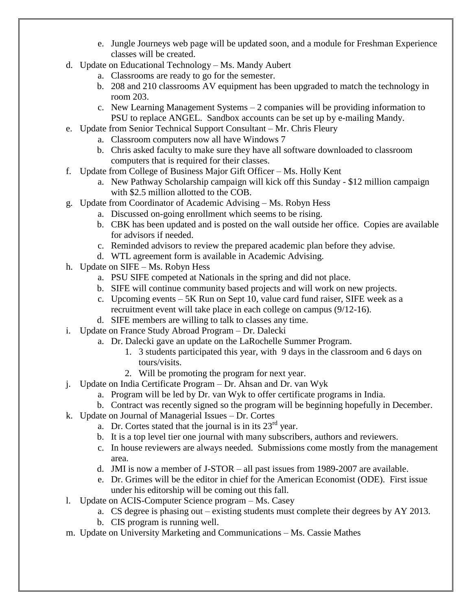- e. Jungle Journeys web page will be updated soon, and a module for Freshman Experience classes will be created.
- d. Update on Educational Technology Ms. Mandy Aubert
	- a. Classrooms are ready to go for the semester.
	- b. 208 and 210 classrooms AV equipment has been upgraded to match the technology in room 203.
	- c. New Learning Management Systems  $-2$  companies will be providing information to PSU to replace ANGEL. Sandbox accounts can be set up by e-mailing Mandy.
- e. Update from Senior Technical Support Consultant Mr. Chris Fleury
	- a. Classroom computers now all have Windows 7
	- b. Chris asked faculty to make sure they have all software downloaded to classroom computers that is required for their classes.
- f. Update from College of Business Major Gift Officer Ms. Holly Kent
	- a. New Pathway Scholarship campaign will kick off this Sunday \$12 million campaign with \$2.5 million allotted to the COB.
- g. Update from Coordinator of Academic Advising Ms. Robyn Hess
	- a. Discussed on-going enrollment which seems to be rising.
	- b. CBK has been updated and is posted on the wall outside her office. Copies are available for advisors if needed.
	- c. Reminded advisors to review the prepared academic plan before they advise.
	- d. WTL agreement form is available in Academic Advising.
- h. Update on SIFE Ms. Robyn Hess
	- a. PSU SIFE competed at Nationals in the spring and did not place.
	- b. SIFE will continue community based projects and will work on new projects.
	- c. Upcoming events 5K Run on Sept 10, value card fund raiser, SIFE week as a recruitment event will take place in each college on campus (9/12-16).
	- d. SIFE members are willing to talk to classes any time.
- i. Update on France Study Abroad Program Dr. Dalecki
	- a. Dr. Dalecki gave an update on the LaRochelle Summer Program.
		- 1. 3 students participated this year, with 9 days in the classroom and 6 days on tours/visits.
		- 2. Will be promoting the program for next year.
- j. Update on India Certificate Program Dr. Ahsan and Dr. van Wyk
	- a. Program will be led by Dr. van Wyk to offer certificate programs in India.
	- b. Contract was recently signed so the program will be beginning hopefully in December.
- k. Update on Journal of Managerial Issues Dr. Cortes
	- a. Dr. Cortes stated that the journal is in its  $23<sup>rd</sup>$  year.
	- b. It is a top level tier one journal with many subscribers, authors and reviewers.
	- c. In house reviewers are always needed. Submissions come mostly from the management area.
	- d. JMI is now a member of J-STOR all past issues from 1989-2007 are available.
	- e. Dr. Grimes will be the editor in chief for the American Economist (ODE). First issue under his editorship will be coming out this fall.
- l. Update on ACIS-Computer Science program Ms. Casey
	- a. CS degree is phasing out existing students must complete their degrees by AY 2013.
	- b. CIS program is running well.
- m. Update on University Marketing and Communications Ms. Cassie Mathes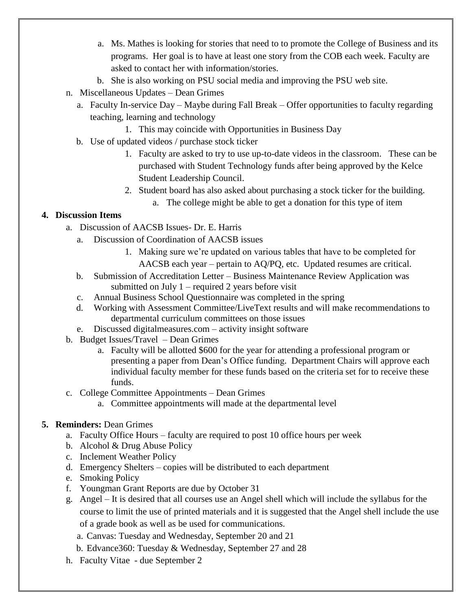- a. Ms. Mathes is looking for stories that need to to promote the College of Business and its programs. Her goal is to have at least one story from the COB each week. Faculty are asked to contact her with information/stories.
- b. She is also working on PSU social media and improving the PSU web site.
- n. Miscellaneous Updates Dean Grimes
	- a. Faculty In-service Day Maybe during Fall Break Offer opportunities to faculty regarding teaching, learning and technology
		- 1. This may coincide with Opportunities in Business Day
	- b. Use of updated videos / purchase stock ticker
		- 1. Faculty are asked to try to use up-to-date videos in the classroom. These can be purchased with Student Technology funds after being approved by the Kelce Student Leadership Council.
		- 2. Student board has also asked about purchasing a stock ticker for the building.
			- a. The college might be able to get a donation for this type of item

## **4. Discussion Items**

- a. Discussion of AACSB Issues- Dr. E. Harris
	- a. Discussion of Coordination of AACSB issues
		- 1. Making sure we're updated on various tables that have to be completed for AACSB each year – pertain to AQ/PQ, etc. Updated resumes are critical.
	- b. Submission of Accreditation Letter Business Maintenance Review Application was submitted on July 1 – required 2 years before visit
	- c. Annual Business School Questionnaire was completed in the spring
	- d. Working with Assessment Committee/LiveText results and will make recommendations to departmental curriculum committees on those issues
	- e. Discussed digitalmeasures.com activity insight software
- b. Budget Issues/Travel Dean Grimes
	- a. Faculty will be allotted \$600 for the year for attending a professional program or presenting a paper from Dean's Office funding. Department Chairs will approve each individual faculty member for these funds based on the criteria set for to receive these funds.
- c. College Committee Appointments Dean Grimes
	- a. Committee appointments will made at the departmental level

# **5. Reminders:** Dean Grimes

- a. Faculty Office Hours faculty are required to post 10 office hours per week
- b. Alcohol & Drug Abuse Policy
- c. Inclement Weather Policy
- d. Emergency Shelters copies will be distributed to each department
- e. Smoking Policy
- f. Youngman Grant Reports are due by October 31
- g. Angel It is desired that all courses use an Angel shell which will include the syllabus for the course to limit the use of printed materials and it is suggested that the Angel shell include the use of a grade book as well as be used for communications.
	- a. Canvas: Tuesday and Wednesday, September 20 and 21
	- b. Edvance360: Tuesday & Wednesday, September 27 and 28
- h. Faculty Vitae due September 2